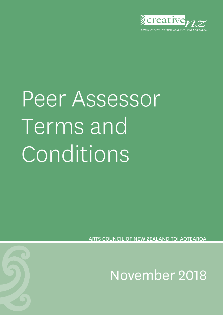

# Peer Assessor Terms and Conditions

COUNCIL OF NEW ZEALAND TOLAOTEAROA

November 2018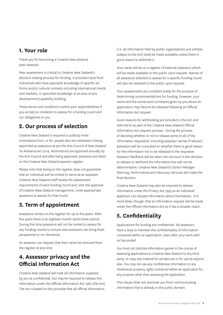#### **1. Your role**

Thank you for becoming a Creative New Zealand peer assessor.

Peer assessment is critical to Creative New Zealand's decision making process for funding. It provides input from individuals who have specialist knowledge of specific art forms and/or cultural contexts including international trends and markets, or specialist knowledge of an area of arts development/capability building.

These terms and conditions outline your responsibilities if you accept an invitation to assess for a funding round and our obligations to you.

## **2. Our process of selection**

Creative New Zealand is required to publicly invite nominations from, or for, people who are interested in being appointed as assessors as per the Arts Council of New Zealand Toi Aotearoa Act 2014. Nominations are approved annually by the Arts Council and after being approved, assessors are listed on the Creative New Zealand assessor register.

Please note that being on the register does not guarantee that an individual will be invited to serve as an assessor. Creative New Zealand staff review the assessment requirements of each funding round and, with the approval of Creative New Zealand management, invite appropriate assessors to assess for that round.

## **3. Term of appointment**

Assessors remain on the register for up to five years. After five years there is an eighteen month stand down period. During this time assessors will not be invited to assess for any funding rounds to ensure new assessors can bring fresh perspective to our decisions.

An assessor can request that their name be removed from the register at any time.

## **4. Assessor privacy and the Official Information Act**

Creative New Zealand will treat all information supplied by you as confidential, but may be required to release this information under the Official Information Act 1982 (the Act). The Act is based on the principle that all official information

(i.e. all information held by public organisations and entities subject to the Act) shall be made available unless there is good reason to withhold it.

Your name will be on a register of external assessors which will be made available to the public upon request. Names of all assessors selected to assess for a specific funding round will also be released to the public upon request.

Your assessments are compiled solely for the purpose of determining recommendations for funding, however, your name and the scores and comments given by you about an application may have to be released following an Official Information Act request.

Good reasons for withholding are included in the Act and referred to as part of the Creative New Zealand Official Information Act request process. During the process of deciding whether or not to release some or all of the information requested, including assessor names if relevant, assessors will be consulted on whether there is good reason for the information not to be released to the requester. Assessor feedback will be taken into account in the decision to release or withhold the information but will not be determinative. Creative New Zealand's Senior Manager Planning, Performance and Advocacy Services will make the final decision.

Creative New Zealand may also be required to release information under the Privacy Act 1993 as an individual applicant can request information about themselves. It is more likely, though, that an information request will be made under the Official Information Act as it has a broader reach.

## **5. Confidentiality**

Applications for funding are confidential. All assessors have a duty to maintain the confidentiality of information contained within an application, even after your work with us has ended.

You must not disclose information gained in the course of assessing applications to Creative New Zealand to any third party, or copy any material for private use or for use by anyone else. You may not use any confidential information or any intellectual property rights contained within an application for any purpose other than assessing the application.

This clause does not preclude you from communicating information that is already in the public domain.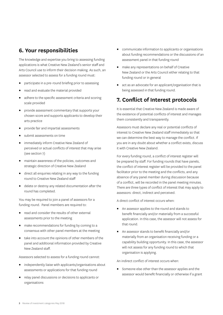#### **6. Your responsibilities**

The knowledge and expertise you bring to assessing funding applications is what Creative New Zealand's senior staff and Arts Council use to inform their decision making. As such, an assessor selected to assess for a funding round must:

- participate in a pre-round briefing prior to assessing
- read and evaluate the material provided
- adhere to the specific assessment criteria and scoring scale provided
- **•** provide assessment commentary that supports your chosen score and supports applicants to develop their arts practice
- provide fair and impartial assessments
- submit assessments on time
- immediately inform Creative New Zealand of perceived or actual conflicts of interest that may arise (see section 7)
- maintain awareness of the policies, outcomes and strategic direction of Creative New Zealand
- direct all enquiries relating in any way to the funding round to Creative New Zealand staff
- **•** delete or destroy any related documentation after the round has completed.

You may be required to join a panel of assessors for a funding round. Panel members are required to:

- read and consider the results of other external assessments prior to the meeting
- make recommendations for funding by coming to a consensus with other panel members at the meeting
- take into account the opinions of other members of the panel and additional information provided by Creative New Zealand staff.

Assessors selected to assess for a funding round cannot:

- independently liaise with applicants/organisations about assessments or applications for that funding round
- relay panel discussions or decisions to applicants or organisations
- communicate information to applicants or organisations about funding recommendations or the discussions of an assessment panel in that funding round
- make any representations on behalf of Creative New Zealand or the Arts Council either relating to that funding round or in general
- act as an advocate for an applicant/organisation that is being assessed in that funding round.

#### **7. Conflict of Interest protocols**

It is essential that Creative New Zealand is made aware of the existence of potential conflicts of interest and manages them consistently and transparently.

Assessors must declare any real or potential conflicts of interest to Creative New Zealand staff immediately so that we can determine the best way to manage the conflict. If you are in any doubt about whether a conflict exists, discuss it with Creative New Zealand.

For every funding round, a conflict of interest register will be prepared by staff. For funding rounds that have panels, the conflict of interest register will be provided to the panel facilitator prior to the meeting and the conflicts, and any absence of any panel member during discussion because of a conflict, will be recorded in the panel meeting minutes. There are three types of conflict of interest that may apply to assessors: direct, indirect and perceived.

A direct conflict of interest occurs when:

- An assessor applies to the round and stands to benefit financially and/or materially from a successful application. In this case, the assessor will not assess for that round.
- An assessor stands to benefit financially and/or materially from an organisation receiving funding or a capability building opportunity. In this case, the assessor will not assess for any funding round to which that organisation is applying.

An indirect conflict of interest occurs when:

Someone else other than the assessor applies and the assessor would benefit financially or otherwise if a grant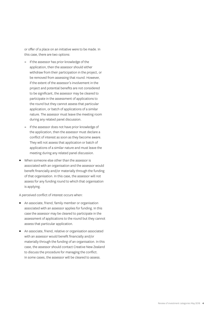or offer of a place on an initiative were to be made. In this case, there are two options:

- **–** If the assessor has prior knowledge of the application, then the assessor should either withdraw from their participation in the project, or be removed from assessing that round. However, if the extent of the assessor's involvement in the project and potential benefits are not considered to be significant, the assessor may be cleared to participate in the assessment of applications to the round but they cannot assess that particular application, or batch of applications of a similar nature. The assessor must leave the meeting room during any related panel discussion.
- **–** If the assessor does not have prior knowledge of the application, then the assessor must declare a conflict of interest as soon as they become aware. They will not assess that application or batch of applications of a similar nature and must leave the meeting during any related panel discussion.
- When someone else other than the assessor is associated with an organisation and the assessor would benefit financially and/or materially through the funding of that organisation. In this case, the assessor will not assess for any funding round to which that organisation is applying.

A perceived conflict of interest occurs when:

- An associate, friend, family member or organisation associated with an assessor applies for funding. In this case the assessor may be cleared to participate in the assessment of applications to the round but they cannot assess that particular application.
- An associate, friend, relative or organisation associated with an assessor would benefit financially and/or materially through the funding of an organisation. In this case, the assessor should contact Creative New Zealand to discuss the procedure for managing the conflict. In some cases, the assessor will be cleared to assess.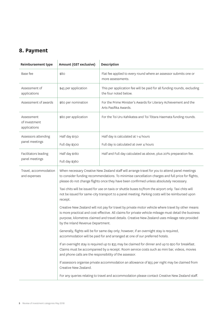# **8. Payment**

| Reimbursement type                          | Amount (GST exclusive)                                                                                                                                                                                                                                                                                                                             | Description                                                                                      |
|---------------------------------------------|----------------------------------------------------------------------------------------------------------------------------------------------------------------------------------------------------------------------------------------------------------------------------------------------------------------------------------------------------|--------------------------------------------------------------------------------------------------|
| Base fee                                    | \$80                                                                                                                                                                                                                                                                                                                                               | Flat fee applied to every round where an assessor submits one or<br>more assessments.            |
| Assessment of<br>applications               | \$45 per application                                                                                                                                                                                                                                                                                                                               | This per application fee will be paid for all funding rounds, excluding<br>the four noted below. |
| Assessment of awards                        | \$60 per nomination                                                                                                                                                                                                                                                                                                                                | For the Prime Minister's Awards for Literary Achievement and the<br>Arts Pasifika Awards.        |
| Assessment<br>of Investment<br>applications | \$80 per application                                                                                                                                                                                                                                                                                                                               | For the Toi Uru Kahikatea and Toi Tōtara Haemata funding rounds.                                 |
| Assessors attending<br>panel meetings       | Half day \$150                                                                                                                                                                                                                                                                                                                                     | Half day is calculated at 1-4 hours                                                              |
|                                             | Full day \$300                                                                                                                                                                                                                                                                                                                                     | Full day is calculated at over 4 hours                                                           |
| Facilitators leading<br>panel meetings      | Half day \$180                                                                                                                                                                                                                                                                                                                                     | Half and Full day calculated as above, plus 20% preparation fee.                                 |
|                                             | Full day \$360                                                                                                                                                                                                                                                                                                                                     |                                                                                                  |
| Travel, accommodation<br>and expenses       | When necessary Creative New Zealand staff will arrange travel for you to attend panel meetings<br>to consider funding recommendations. To minimise cancellation charges and full price for flights,<br>please do not change flights once they have been confirmed unless absolutely necessary.                                                     |                                                                                                  |
|                                             | Taxi chits will be issued for use on taxis or shuttle buses to/from the airport only. Taxi chits will<br>not be issued for same-city transport to a panel meeting. Parking costs will be reimbursed upon<br>receipt.                                                                                                                               |                                                                                                  |
|                                             | Creative New Zealand will not pay for travel by private motor vehicle where travel by other means<br>is more practical and cost-effective. All claims for private vehicle mileage must detail the business<br>purpose, kilometres claimed and travel details. Creative New Zealand uses mileage rate provided<br>by the Inland Revenue Department. |                                                                                                  |
|                                             | Generally, flights will be for same day only; however, if an overnight stay is required,<br>accommodation will be paid for and arranged at one of our preferred hotels.                                                                                                                                                                            |                                                                                                  |
|                                             | If an overnight stay is required up to \$35 may be claimed for dinner and up to \$20 for breakfast.<br>Claims must be accompanied by a receipt. Room service costs such as mini bar, videos, movies<br>and phone calls are the responsibility of the assessor.                                                                                     |                                                                                                  |
|                                             | If assessors organise private accommodation an allowance of \$55 per night may be claimed from<br>Creative New Zealand.                                                                                                                                                                                                                            |                                                                                                  |
|                                             |                                                                                                                                                                                                                                                                                                                                                    | For any queries relating to travel and accommodation please contact Creative New Zealand staff.  |